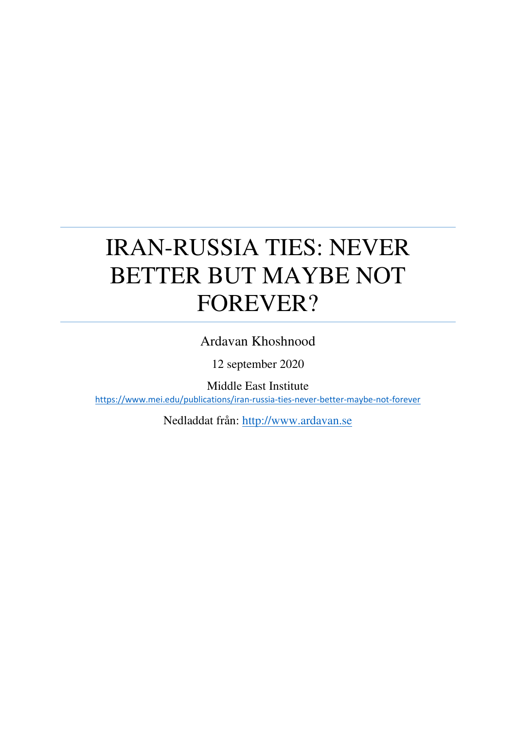## IRAN-RUSSIA TIES: NEVER BETTER BUT MAYBE NOT FOREVER?

Ardavan Khoshnood

12 september 2020

Middle East Institute <https://www.mei.edu/publications/iran-russia-ties-never-better-maybe-not-forever>

Nedladdat från: [http://www.ardavan.se](http://www.ardavan.se/)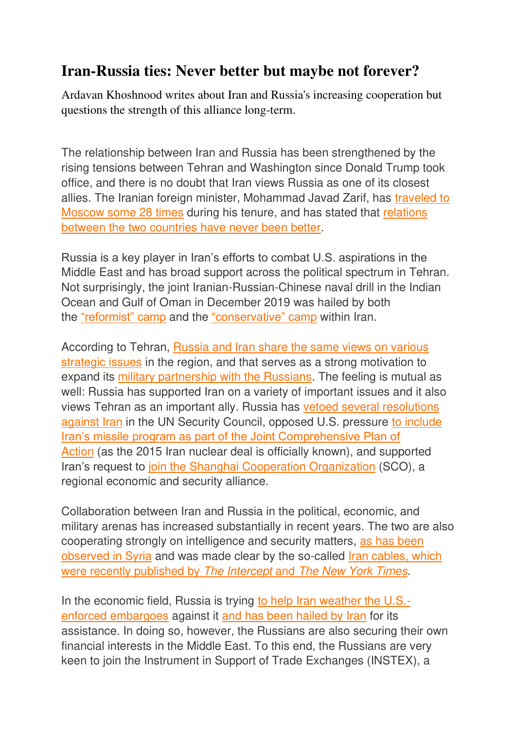## **Iran-Russia ties: Never better but maybe not forever?**

Ardavan Khoshnood writes about Iran and Russia's increasing cooperation but questions the strength of this alliance long-term.

The relationship between Iran and Russia has been strengthened by the rising tensions between Tehran and Washington since Donald Trump took office, and there is no doubt that Iran views Russia as one of its closest allies. The Iranian foreign minister, Mohammad Javad Zarif, has [traveled to](https://www.entekhab.ir/fa/news/520716/%D8%B8%D8%B1%DB%8C%D9%81-%DB%B2%DB%B8-%D8%A8%D8%A7%D8%B1-%D8%AF%D8%B1-%D8%B7%D9%88%D9%84-%D8%AF%D9%88%D8%B1%D8%A7%D9%86-%D9%88%D8%B2%D8%A7%D8%B1%D8%AA%D9%85-%D8%A8%D8%A7-%D9%84%D8%A7%D9%88%D8%B1%D9%88%D9%81-%D8%AF%D8%B1-%D9%85%D8%B3%DA%A9%D9%88-%D8%AF%DB%8C%D8%AF%D8%A7%D8%B1-%DA%A9%D8%B1%D8%AF%D9%87-%D8%A7%D9%85-%D8%A7%D9%82%D8%AF%D8%A7%D9%85-%D8%A7%D8%AE%DB%8C%D8%B1-%D8%A2%D9%85%D8%B1%DB%8C%DA%A9%D8%A7-%D8%AF%D8%B1-%D8%AD%D9%85%D9%84%D9%87-%D8%A8%D9%87-%D8%B9%D8%B1%D8%A7%D9%82-%D8%BA%DB%8C%D8%B1%D9%82%D8%A7%D8%A8%D9%84-%D9%82%D8%A8%D9%88%D9%84-%D8%A7%D8%B3%D8%AA)  [Moscow some 28 times](https://www.entekhab.ir/fa/news/520716/%D8%B8%D8%B1%DB%8C%D9%81-%DB%B2%DB%B8-%D8%A8%D8%A7%D8%B1-%D8%AF%D8%B1-%D8%B7%D9%88%D9%84-%D8%AF%D9%88%D8%B1%D8%A7%D9%86-%D9%88%D8%B2%D8%A7%D8%B1%D8%AA%D9%85-%D8%A8%D8%A7-%D9%84%D8%A7%D9%88%D8%B1%D9%88%D9%81-%D8%AF%D8%B1-%D9%85%D8%B3%DA%A9%D9%88-%D8%AF%DB%8C%D8%AF%D8%A7%D8%B1-%DA%A9%D8%B1%D8%AF%D9%87-%D8%A7%D9%85-%D8%A7%D9%82%D8%AF%D8%A7%D9%85-%D8%A7%D8%AE%DB%8C%D8%B1-%D8%A2%D9%85%D8%B1%DB%8C%DA%A9%D8%A7-%D8%AF%D8%B1-%D8%AD%D9%85%D9%84%D9%87-%D8%A8%D9%87-%D8%B9%D8%B1%D8%A7%D9%82-%D8%BA%DB%8C%D8%B1%D9%82%D8%A7%D8%A8%D9%84-%D9%82%D8%A8%D9%88%D9%84-%D8%A7%D8%B3%D8%AA) during his tenure, and has stated that [relations](https://www.yjc.ir/fa/news/7189672/%D8%A7%DB%8C%D8%B1%D8%A7%D9%86-%D9%88-%D8%B1%D9%88%D8%B3%DB%8C%D9%87-%D8%A8%D8%B1%D8%AE%D9%84%D8%A7%D9%81-%D8%AC%D9%86%DA%AF-%D8%A7%D9%81%D8%B1%D9%88%D8%B2%D8%A7%D9%86-%D8%A8%D9%87-%D8%AF%D9%86%D8%A8%D8%A7%D9%84-%D8%AB%D8%A8%D8%A7%D8%AA-%D8%AF%D8%B1-%D9%85%D9%86%D8%B7%D9%82%D9%87-%D9%87%D8%B3%D8%AA%D9%86%D8%AF)  [between the two countries have never been better.](https://www.yjc.ir/fa/news/7189672/%D8%A7%DB%8C%D8%B1%D8%A7%D9%86-%D9%88-%D8%B1%D9%88%D8%B3%DB%8C%D9%87-%D8%A8%D8%B1%D8%AE%D9%84%D8%A7%D9%81-%D8%AC%D9%86%DA%AF-%D8%A7%D9%81%D8%B1%D9%88%D8%B2%D8%A7%D9%86-%D8%A8%D9%87-%D8%AF%D9%86%D8%A8%D8%A7%D9%84-%D8%AB%D8%A8%D8%A7%D8%AA-%D8%AF%D8%B1-%D9%85%D9%86%D8%B7%D9%82%D9%87-%D9%87%D8%B3%D8%AA%D9%86%D8%AF)

Russia is a key player in Iran's efforts to combat U.S. aspirations in the Middle East and has broad support across the political spectrum in Tehran. Not surprisingly, the joint Iranian-Russian-Chinese naval drill in the Indian Ocean and Gulf of Oman in December 2019 was hailed by both the ["reformist" camp](http://www.etemadnewspaper.ir/fa/Main/Detail/139919) and the ["conservative" camp](https://basirat.ir/fa/news/319261/%D9%85%D8%B9%D9%86%D8%A7%DB%8C-%D8%A7%D8%B3%D8%AA%D8%B1%D8%A7%D8%AA%DA%98%DB%8C%DA%A9-%D9%87%D9%85%DA%AF%D8%B1%D8%A7%DB%8C%DB%8C-%D8%A7%DB%8C%D8%B1%D8%A7%D9%86-%DA%86%DB%8C%D9%86-%D9%88-%D8%B1%D9%88%D8%B3%DB%8C%D9%87-%DA%86%DB%8C%D8%B3%D8%AA) within Iran.

According to Tehran, [Russia and Iran share the same views on various](https://www.yjc.ir/fa/news/7189672/%D8%A7%DB%8C%D8%B1%D8%A7%D9%86-%D9%88-%D8%B1%D9%88%D8%B3%DB%8C%D9%87-%D8%A8%D8%B1%D8%AE%D9%84%D8%A7%D9%81-%D8%AC%D9%86%DA%AF-%D8%A7%D9%81%D8%B1%D9%88%D8%B2%D8%A7%D9%86-%D8%A8%D9%87-%D8%AF%D9%86%D8%A8%D8%A7%D9%84-%D8%AB%D8%A8%D8%A7%D8%AA-%D8%AF%D8%B1-%D9%85%D9%86%D8%B7%D9%82%D9%87-%D9%87%D8%B3%D8%AA%D9%86%D8%AF)  [strategic issues](https://www.yjc.ir/fa/news/7189672/%D8%A7%DB%8C%D8%B1%D8%A7%D9%86-%D9%88-%D8%B1%D9%88%D8%B3%DB%8C%D9%87-%D8%A8%D8%B1%D8%AE%D9%84%D8%A7%D9%81-%D8%AC%D9%86%DA%AF-%D8%A7%D9%81%D8%B1%D9%88%D8%B2%D8%A7%D9%86-%D8%A8%D9%87-%D8%AF%D9%86%D8%A8%D8%A7%D9%84-%D8%AB%D8%A8%D8%A7%D8%AA-%D8%AF%D8%B1-%D9%85%D9%86%D8%B7%D9%82%D9%87-%D9%87%D8%B3%D8%AA%D9%86%D8%AF) in the region, and that serves as a strong motivation to expand its [military partnership with the Russians.](https://www.tasnimnews.com/fa/news/1398/10/29/2184901/%D8%B1%D8%B3%D8%A7%D9%86%D9%87-%D8%B1%D9%88%D8%B3-%D8%A7%DB%8C%D8%B1%D8%A7%D9%86-%D8%B1%D9%88%D8%B3%DB%8C%D9%87-%D9%88-%DA%86%DB%8C%D9%86-%D8%B4%DA%A9%D9%84-%D8%AF%D9%87%D9%86%D8%AF%D9%87-%D8%B1%D9%88%DB%8C%D8%AF%D8%A7%D8%AF%D9%87%D8%A7-%D8%AF%D8%B1-%D8%AE%D8%A7%D9%88%D8%B1%D9%85%DB%8C%D8%A7%D9%86%D9%87-%D9%87%D8%B3%D8%AA%D9%86%D8%AF) The feeling is mutual as well: Russia has supported Iran on a variety of important issues and it also views Tehran as an important ally. Russia has [vetoed several resolutions](https://www.nytimes.com/2018/02/26/world/middleeast/iran-yemen-security-council.html)  [against Iran](https://www.nytimes.com/2018/02/26/world/middleeast/iran-yemen-security-council.html) in the UN Security Council, opposed U.S. pressure [to include](http://ebtekarnews.com/index.php?newsid=150799)  [Iran's missile program as part of the Joint Comprehensive Plan of](http://ebtekarnews.com/index.php?newsid=150799)  [Action](http://ebtekarnews.com/index.php?newsid=150799) (as the 2015 Iran nuclear deal is officially known), and supported Iran's request to [join the Shanghai Cooperation Organization](http://ebtekarnews.com/index.php?newsid=150918) (SCO), a regional economic and security alliance.

Collaboration between Iran and Russia in the political, economic, and military arenas has increased substantially in recent years. The two are also cooperating strongly on intelligence and security matters, [as has been](https://www.reuters.com/article/us-mideast-crisis-syria-soleimani-insigh/how-iranian-general-plotted-out-syrian-assault-in-moscow-idUSKCN0S02BV20151006)  [observed in Syria](https://www.reuters.com/article/us-mideast-crisis-syria-soleimani-insigh/how-iranian-general-plotted-out-syrian-assault-in-moscow-idUSKCN0S02BV20151006) and was made clear by the so-called [Iran cables, which](https://www.nytimes.com/interactive/2019/11/18/world/middleeast/iran-iraq-spy-cables.html)  [were recently published by](https://www.nytimes.com/interactive/2019/11/18/world/middleeast/iran-iraq-spy-cables.html) The Intercept and The New York Times.

In the economic field, Russia is trying [to help Iran weather the U.S.](http://www.shabestan.ir/detail/News/874391) [enforced embargoes](http://www.shabestan.ir/detail/News/874391) against it [and has been hailed by Iran](https://www.entekhab.ir/fa/news/519562/%D8%B3%D8%AE%D9%86%DA%AF%D9%88%DB%8C-%D9%88%D8%B2%D8%A7%D8%B1%D8%AA-%D8%AE%D8%A7%D8%B1%D8%AC%D9%87-%D8%A7%DB%8C%D8%B1%D8%A7%D9%86-%D8%AD%D8%B3%D8%A7%D8%A8-%D8%B1%D9%88%D8%B3%DB%8C%D9%87-%D9%88-%DA%86%DB%8C%D9%86-%D8%B1%D8%A7-%D8%A7%D8%B2-%D8%AF%DB%8C%DA%AF%D8%B1-%DA%A9%D8%B4%D9%88%D8%B1%D9%87%D8%A7%DB%8C-%D8%B9%D8%B6%D9%88-%D8%A8%D8%B1%D8%AC%D8%A7%D9%85-%D8%A7%D8%B2-%D8%AC%D9%85%D9%84%D9%87-%D8%A7%D9%86%DA%AF%D9%84%DB%8C%D8%B3-%D9%88-%D8%A2%D9%84%D9%85%D8%A7%D9%86-%D8%AC%D8%AF%D8%A7-%DA%A9%D8%B1%D8%AF%D9%87) for its assistance. In doing so, however, the Russians are also securing their own financial interests in the Middle East. To this end, the Russians are very keen to join the Instrument in Support of Trade Exchanges (INSTEX), a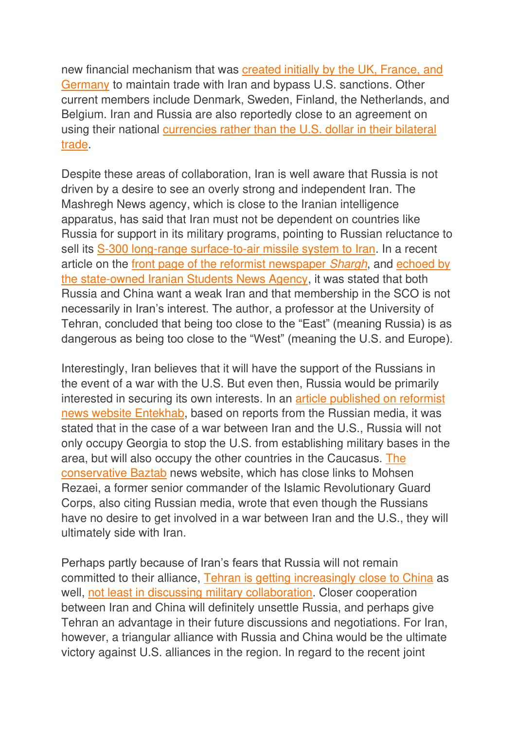new financial mechanism that was [created initially by the UK, France, and](https://eeas.europa.eu/delegations/japan/57475/statement-high-representativevice-president-federica-mogherini-creation-instex-instrument_en)  [Germany](https://eeas.europa.eu/delegations/japan/57475/statement-high-representativevice-president-federica-mogherini-creation-instex-instrument_en) to maintain trade with Iran and bypass U.S. sanctions. Other current members include Denmark, Sweden, Finland, the Netherlands, and Belgium. Iran and Russia are also reportedly close to an agreement on using their national [currencies rather than the U.S. dollar in their bilateral](http://www.ibena.ir/news/110094/%D9%86%DB%8C%D9%85%DB%8C-%D8%A7%D8%B2-%D8%AA%D8%AC%D8%A7%D8%B1%D8%AA-%D8%A7%DB%8C%D8%B1%D8%A7%D9%86-%D9%88-%D8%B1%D9%88%D8%B3%DB%8C%D9%87-%D8%A8%D8%A7-%D8%A7%D8%B1%D8%B2-%D9%85%D9%84%DB%8C-%D8%A7%D9%86%D8%AC%D8%A7%D9%85-%D9%85%DB%8C-%D8%B4%D9%88%D8%AF)  [trade.](http://www.ibena.ir/news/110094/%D9%86%DB%8C%D9%85%DB%8C-%D8%A7%D8%B2-%D8%AA%D8%AC%D8%A7%D8%B1%D8%AA-%D8%A7%DB%8C%D8%B1%D8%A7%D9%86-%D9%88-%D8%B1%D9%88%D8%B3%DB%8C%D9%87-%D8%A8%D8%A7-%D8%A7%D8%B1%D8%B2-%D9%85%D9%84%DB%8C-%D8%A7%D9%86%D8%AC%D8%A7%D9%85-%D9%85%DB%8C-%D8%B4%D9%88%D8%AF)

Despite these areas of collaboration, Iran is well aware that Russia is not driven by a desire to see an overly strong and independent Iran. The Mashregh News agency, which is close to the Iranian intelligence apparatus, has said that Iran must not be dependent on countries like Russia for support in its military programs, pointing to Russian reluctance to sell its [S-300 long-range surface-to-air missile system to Iran.](https://www.mashreghnews.ir/news/986698/%D8%A7%DB%8C%D8%B1%D8%A7%D9%86-%D8%A8%D9%87-%D8%B2%D9%88%D8%AF%DB%8C-%D9%85%D9%82%D8%A7%D9%85%D8%A7%D8%AA-%D9%86%D8%B8%D8%A7%D9%85%DB%8C-%D8%A2%D9%85%D8%B1%DB%8C%DA%A9%D8%A7-%D9%88-%D8%B1%D9%88%D8%B3%DB%8C%D9%87-%D8%B1%D8%A7-%D8%BA%D8%A7%D9%81%D9%84%DA%AF%DB%8C%D8%B1-%D9%85%DB%8C-%DA%A9%D9%86%D8%AF) In a recent article on the [front page of the reformist newspaper](http://sharghdaily.com/fa/main/detail/189626/%D8%A7%D9%8A%D8%B1%D8%A7%D9%86-%D9%90%D8%B6%D8%B9%D9%8A%D9%81%D8%8C-%D8%AE%D9%88%D8%A7%D8%B3%D8%AA%D9%87-%DA%86%D9%8A%D9%86-%D9%88-%D8%B1%D9%88%D8%B3%D9%8A%D9%87) *Shargh*, and echoed by [the state-owned Iranian Students News Agency,](https://www.isna.ir/news/97032913805/%D8%A7%DB%8C%D8%B1%D8%A7%D9%86-%D8%B6%D8%B9%DB%8C%D9%81-%D8%AE%D9%88%D8%A7%D8%B3%D8%AA%D9%87-%DA%86%DB%8C%D9%86-%D9%88-%D8%B1%D9%88%D8%B3%DB%8C%D9%87) it was stated that both Russia and China want a weak Iran and that membership in the SCO is not necessarily in Iran's interest. The author, a professor at the University of Tehran, concluded that being too close to the "East" (meaning Russia) is as dangerous as being too close to the "West" (meaning the U.S. and Europe).

Interestingly, Iran believes that it will have the support of the Russians in the event of a war with the U.S. But even then, Russia would be primarily interested in securing its own interests. In an [article published on reformist](https://www.entekhab.ir/fa/news/57703/%D9%88%D8%A7%DA%A9%D9%86%D8%B4-%D8%B1%D9%88%D8%B3%DB%8C%D9%87-%D8%A8%D9%87-%D8%AD%D9%85%D9%84%D9%87-%D8%A2%D9%85%D8%B1%DB%8C%DA%A9%D8%A7-%D9%88-%D8%A7%D8%B3%D8%B1%D8%A7%D8%A6%DB%8C%D9%84-%D8%A8%D9%87-%D8%A7%DB%8C%D8%B1%D8%A7%D9%86-%DA%86%D9%87-%D8%AE%D9%88%D8%A7%D9%87%D8%AF-%D8%A8%D9%88%D8%AF-%D8%B4%D9%88%D8%B1%D9%88%DB%8C-%D8%AF%D9%88%D8%A8%D8%A7%D8%B1%D9%87-%D8%AA%D8%B4%DA%A9%DB%8C%D9%84-%D9%85%DB%8C-%D8%B4%D9%88%D8%AF)  [news website Entekhab,](https://www.entekhab.ir/fa/news/57703/%D9%88%D8%A7%DA%A9%D9%86%D8%B4-%D8%B1%D9%88%D8%B3%DB%8C%D9%87-%D8%A8%D9%87-%D8%AD%D9%85%D9%84%D9%87-%D8%A2%D9%85%D8%B1%DB%8C%DA%A9%D8%A7-%D9%88-%D8%A7%D8%B3%D8%B1%D8%A7%D8%A6%DB%8C%D9%84-%D8%A8%D9%87-%D8%A7%DB%8C%D8%B1%D8%A7%D9%86-%DA%86%D9%87-%D8%AE%D9%88%D8%A7%D9%87%D8%AF-%D8%A8%D9%88%D8%AF-%D8%B4%D9%88%D8%B1%D9%88%DB%8C-%D8%AF%D9%88%D8%A8%D8%A7%D8%B1%D9%87-%D8%AA%D8%B4%DA%A9%DB%8C%D9%84-%D9%85%DB%8C-%D8%B4%D9%88%D8%AF) based on reports from the Russian media, it was stated that in the case of a war between Iran and the U.S., Russia will not only occupy Georgia to stop the U.S. from establishing military bases in the area, but will also occupy the other countries in the Caucasus. [The](https://baztab.ir/547297/%D8%B1%D9%88%D8%B3%DB%8C%D9%87-%D8%AF%D8%B1-%D8%AC%D9%86%DA%AF-%D8%A7%D8%AD%D8%AA%D9%85%D8%A7%D9%84%DB%8C-%D8%A8%DB%8C%D9%86-%D8%A7%DB%8C%D8%B1%D8%A7%D9%86-%D9%88-%D8%A2%D9%85%D8%B1%DB%8C%DA%A9%D8%A7/)  [conservative Baztab](https://baztab.ir/547297/%D8%B1%D9%88%D8%B3%DB%8C%D9%87-%D8%AF%D8%B1-%D8%AC%D9%86%DA%AF-%D8%A7%D8%AD%D8%AA%D9%85%D8%A7%D9%84%DB%8C-%D8%A8%DB%8C%D9%86-%D8%A7%DB%8C%D8%B1%D8%A7%D9%86-%D9%88-%D8%A2%D9%85%D8%B1%DB%8C%DA%A9%D8%A7/) news website, which has close links to Mohsen Rezaei, a former senior commander of the Islamic Revolutionary Guard Corps, also citing Russian media, wrote that even though the Russians have no desire to get involved in a war between Iran and the U.S., they will ultimately side with Iran.

Perhaps partly because of Iran's fears that Russia will not remain committed to their alliance, [Tehran is getting increasingly close to China](https://www.farsnews.com/news/13980629000697/%D8%B1%D8%B2%D9%85%D8%A7%DB%8C%D8%B4-%D8%A7%DB%8C%D8%B1%D8%A7%D9%86-%DA%86%DB%8C%D9%86-%D9%88-%D8%B1%D9%88%D8%B3%DB%8C%D9%87-%D8%AF%D8%B1-%D8%AF%D8%B1%DB%8C%D8%A7%DB%8C-%D8%B9%D9%85%D8%A7%D9%86-%DA%AF%D8%A7%D9%85%E2%80%8C%D9%87%D8%A7%DB%8C-%D9%85%D8%AD%DA%A9%D9%85%E2%80%8C%D8%AA%D8%B1%DB%8C-%D8%AF%D8%B1-%D8%B1%D9%88%D8%A7%D8%A8%D8%B7-%D8%A8%D8%A7) as well, [not least in discussing military collaboration.](https://www.tasnimnews.com/fa/news/1398/10/29/2184901/%D8%B1%D8%B3%D8%A7%D9%86%D9%87-%D8%B1%D9%88%D8%B3-%D8%A7%DB%8C%D8%B1%D8%A7%D9%86-%D8%B1%D9%88%D8%B3%DB%8C%D9%87-%D9%88-%DA%86%DB%8C%D9%86-%D8%B4%DA%A9%D9%84-%D8%AF%D9%87%D9%86%D8%AF%D9%87-%D8%B1%D9%88%DB%8C%D8%AF%D8%A7%D8%AF%D9%87%D8%A7-%D8%AF%D8%B1-%D8%AE%D8%A7%D9%88%D8%B1%D9%85%DB%8C%D8%A7%D9%86%D9%87-%D9%87%D8%B3%D8%AA%D9%86%D8%AF) Closer cooperation between Iran and China will definitely unsettle Russia, and perhaps give Tehran an advantage in their future discussions and negotiations. For Iran, however, a triangular alliance with Russia and China would be the ultimate victory against U.S. alliances in the region. In regard to the recent joint